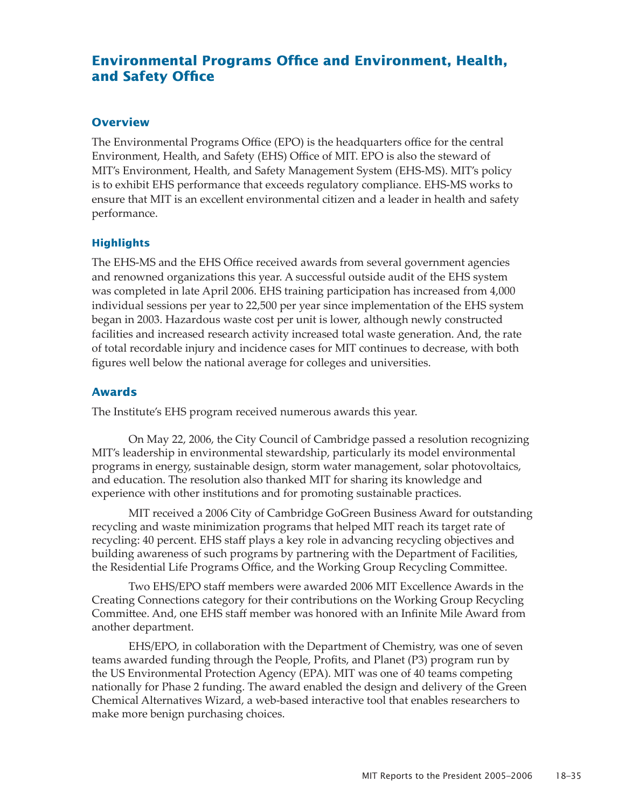# **Environmental Programs Office and Environment, Health, and Safety Office**

### **Overview**

The Environmental Programs Office (EPO) is the headquarters office for the central Environment, Health, and Safety (EHS) Office of MIT. EPO is also the steward of MIT's Environment, Health, and Safety Management System (EHS-MS). MIT's policy is to exhibit EHS performance that exceeds regulatory compliance. EHS-MS works to ensure that MIT is an excellent environmental citizen and a leader in health and safety performance.

### **Highlights**

The EHS-MS and the EHS Office received awards from several government agencies and renowned organizations this year. A successful outside audit of the EHS system was completed in late April 2006. EHS training participation has increased from 4,000 individual sessions per year to 22,500 per year since implementation of the EHS system began in 2003. Hazardous waste cost per unit is lower, although newly constructed facilities and increased research activity increased total waste generation. And, the rate of total recordable injury and incidence cases for MIT continues to decrease, with both figures well below the national average for colleges and universities.

### **Awards**

The Institute's EHS program received numerous awards this year.

On May 22, 2006, the City Council of Cambridge passed a resolution recognizing MIT's leadership in environmental stewardship, particularly its model environmental programs in energy, sustainable design, storm water management, solar photovoltaics, and education. The resolution also thanked MIT for sharing its knowledge and experience with other institutions and for promoting sustainable practices.

MIT received a 2006 City of Cambridge GoGreen Business Award for outstanding recycling and waste minimization programs that helped MIT reach its target rate of recycling: 40 percent. EHS staff plays a key role in advancing recycling objectives and building awareness of such programs by partnering with the Department of Facilities, the Residential Life Programs Office, and the Working Group Recycling Committee.

Two EHS/EPO staff members were awarded 2006 MIT Excellence Awards in the Creating Connections category for their contributions on the Working Group Recycling Committee. And, one EHS staff member was honored with an Infinite Mile Award from another department.

EHS/EPO, in collaboration with the Department of Chemistry, was one of seven teams awarded funding through the People, Profits, and Planet (P3) program run by the US Environmental Protection Agency (EPA). MIT was one of 40 teams competing nationally for Phase 2 funding. The award enabled the design and delivery of the Green Chemical Alternatives Wizard, a web-based interactive tool that enables researchers to make more benign purchasing choices.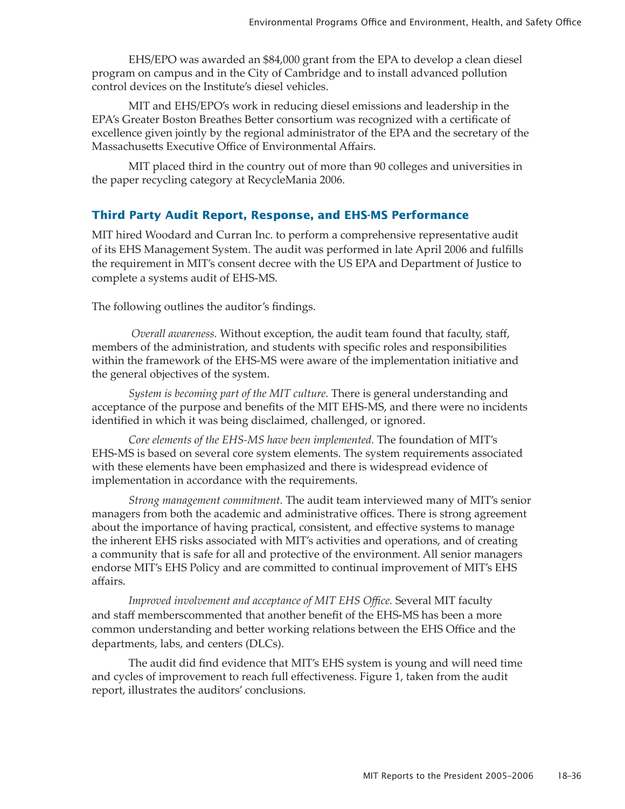EHS/EPO was awarded an \$84,000 grant from the EPA to develop a clean diesel program on campus and in the City of Cambridge and to install advanced pollution control devices on the Institute's diesel vehicles.

MIT and EHS/EPO's work in reducing diesel emissions and leadership in the EPA's Greater Boston Breathes Better consortium was recognized with a certificate of excellence given jointly by the regional administrator of the EPA and the secretary of the Massachusetts Executive Office of Environmental Affairs.

MIT placed third in the country out of more than 90 colleges and universities in the paper recycling category at RecycleMania 2006.

## **Third Party Audit Report, Response, and EHS-MS Performance**

MIT hired Woodard and Curran Inc. to perform a comprehensive representative audit of its EHS Management System. The audit was performed in late April 2006 and fulfills the requirement in MIT's consent decree with the US EPA and Department of Justice to complete a systems audit of EHS-MS.

The following outlines the auditor's findings.

*Overall awareness.* Without exception, the audit team found that faculty, staff, members of the administration, and students with specific roles and responsibilities within the framework of the EHS-MS were aware of the implementation initiative and the general objectives of the system.

*System is becoming part of the MIT culture.* There is general understanding and acceptance of the purpose and benefits of the MIT EHS-MS, and there were no incidents identified in which it was being disclaimed, challenged, or ignored.

*Core elements of the EHS-MS have been implemented.* The foundation of MIT's EHS-MS is based on several core system elements. The system requirements associated with these elements have been emphasized and there is widespread evidence of implementation in accordance with the requirements.

*Strong management commitment.* The audit team interviewed many of MIT's senior managers from both the academic and administrative offices. There is strong agreement about the importance of having practical, consistent, and effective systems to manage the inherent EHS risks associated with MIT's activities and operations, and of creating a community that is safe for all and protective of the environment. All senior managers endorse MIT's EHS Policy and are committed to continual improvement of MIT's EHS affairs.

*Improved involvement and acceptance of MIT EHS Office.* Several MIT faculty and staff memberscommented that another benefit of the EHS-MS has been a more common understanding and better working relations between the EHS Office and the departments, labs, and centers (DLCs).

The audit did find evidence that MIT's EHS system is young and will need time and cycles of improvement to reach full effectiveness. Figure 1, taken from the audit report, illustrates the auditors' conclusions.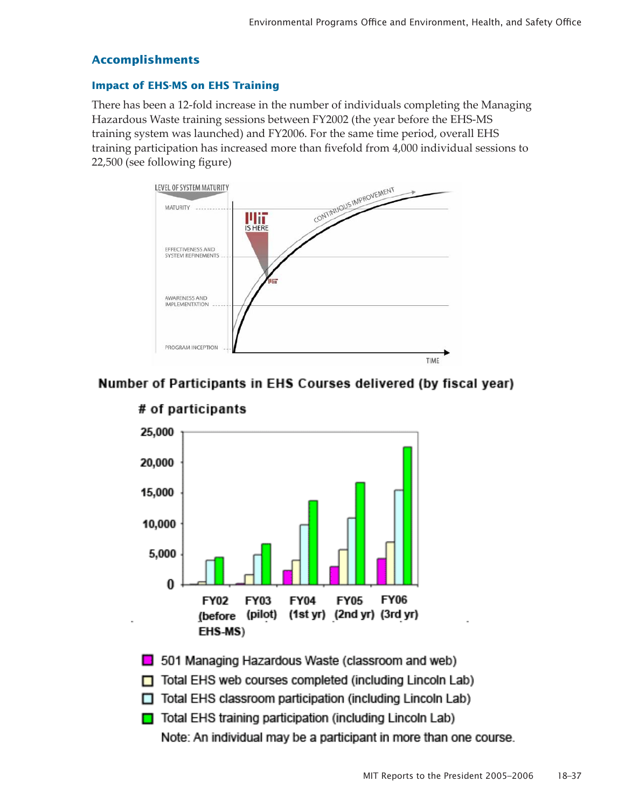## **Accomplishments**

### **Impact of EHS-MS on EHS Training**

There has been a 12-fold increase in the number of individuals completing the Managing Hazardous Waste training sessions between FY2002 (the year before the EHS-MS training system was launched) and FY2006. For the same time period, overall EHS training participation has increased more than fivefold from 4,000 individual sessions to 22,500 (see following figure)



# Number of Participants in EHS Courses delivered (by fiscal year)



# # of participants

501 Managing Hazardous Waste (classroom and web)

- Total EHS web courses completed (including Lincoln Lab)
- Total EHS classroom participation (including Lincoln Lab)
- □ Total EHS training participation (including Lincoln Lab)

Note: An individual may be a participant in more than one course.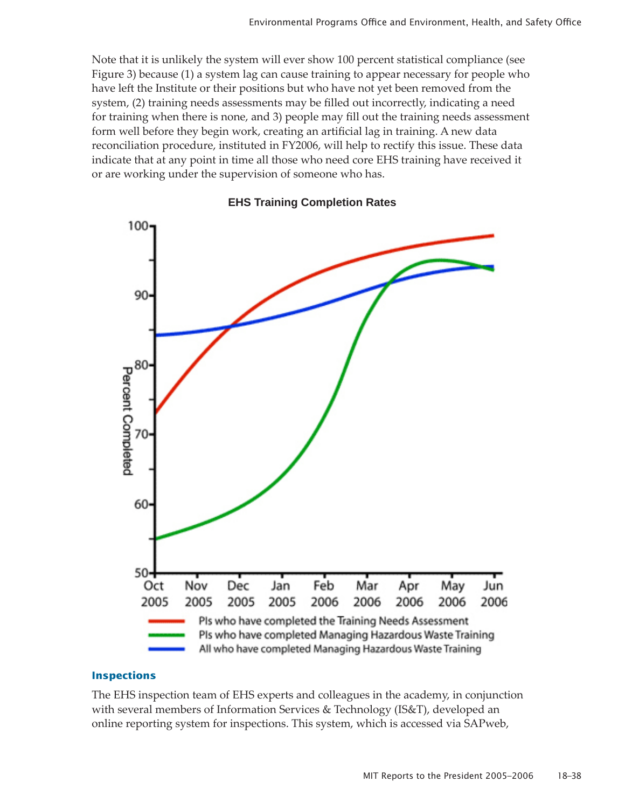Note that it is unlikely the system will ever show 100 percent statistical compliance (see Figure 3) because (1) a system lag can cause training to appear necessary for people who have left the Institute or their positions but who have not yet been removed from the system, (2) training needs assessments may be filled out incorrectly, indicating a need for training when there is none, and 3) people may fill out the training needs assessment form well before they begin work, creating an artificial lag in training. A new data reconciliation procedure, instituted in FY2006, will help to rectify this issue. These data indicate that at any point in time all those who need core EHS training have received it or are working under the supervision of someone who has.



## **EHS Training Completion Rates**

#### **Inspections**

The EHS inspection team of EHS experts and colleagues in the academy, in conjunction with several members of Information Services & Technology (IS&T), developed an online reporting system for inspections. This system, which is accessed via SAPweb,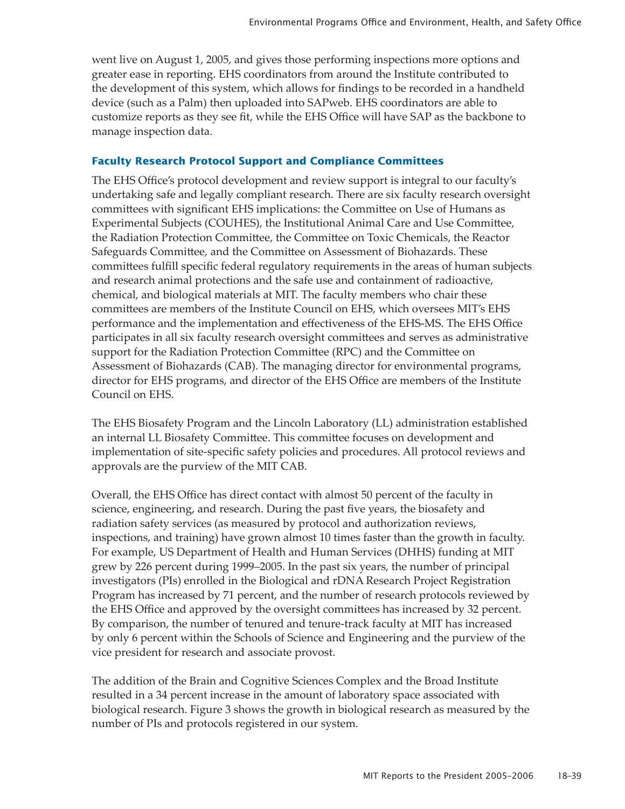went live on August 1, 2005, and gives those performing inspections more options and greater ease in reporting. EHS coordinators from around the Institute contributed to the development of this system, which allows for findings to be recorded in a handheld device (such as a Palm) then uploaded into SAPweb. EHS coordinators are able to customize reports as they see fit, while the EHS Office will have SAP as the backbone to manage inspection data.

### **Faculty Research Protocol Support and Compliance Committees**

The EHS Office's protocol development and review support is integral to our faculty's undertaking safe and legally compliant research. There are six faculty research oversight committees with significant EHS implications: the Committee on Use of Humans as Experimental Subjects (COUHES), the Institutional Animal Care and Use Committee, the Radiation Protection Committee, the Committee on Toxic Chemicals, the Reactor Safeguards Committee, and the Committee on Assessment of Biohazards. These committees fulfill specific federal regulatory requirements in the areas of human subjects and research animal protections and the safe use and containment of radioactive, chemical, and biological materials at MIT. The faculty members who chair these committees are members of the Institute Council on EHS, which oversees MIT's EHS performance and the implementation and effectiveness of the EHS-MS. The EHS Office participates in all six faculty research oversight committees and serves as administrative support for the Radiation Protection Committee (RPC) and the Committee on Assessment of Biohazards (CAB). The managing director for environmental programs, director for EHS programs, and director of the EHS Office are members of the Institute Council on EHS.

The EHS Biosafety Program and the Lincoln Laboratory (LL) administration established an internal LL Biosafety Committee. This committee focuses on development and implementation of site-specific safety policies and procedures. All protocol reviews and approvals are the purview of the MIT CAB.

Overall, the EHS Office has direct contact with almost 50 percent of the faculty in science, engineering, and research. During the past five years, the biosafety and radiation safety services (as measured by protocol and authorization reviews, inspections, and training) have grown almost 10 times faster than the growth in faculty. For example, US Department of Health and Human Services (DHHS) funding at MIT grew by 226 percent during 1999–2005. In the past six years, the number of principal investigators (PIs) enrolled in the Biological and rDNA Research Project Registration Program has increased by 71 percent, and the number of research protocols reviewed by the EHS Office and approved by the oversight committees has increased by 32 percent. By comparison, the number of tenured and tenure-track faculty at MIT has increased by only 6 percent within the Schools of Science and Engineering and the purview of the vice president for research and associate provost.

The addition of the Brain and Cognitive Sciences Complex and the Broad Institute resulted in a 34 percent increase in the amount of laboratory space associated with biological research. Figure 3 shows the growth in biological research as measured by the number of PIs and protocols registered in our system.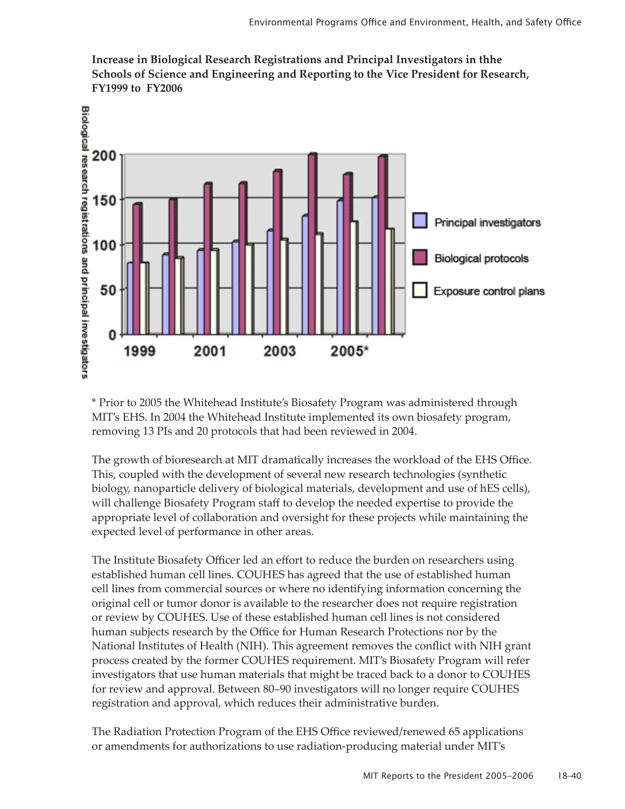

**Increase in Biological Research Registrations and Principal Investigators in thhe Schools of Science and Engineering and Reporting to the Vice President for Research, FY1999 to FY2006**

\* Prior to 2005 the Whitehead Institute's Biosafety Program was administered through MIT's EHS. In 2004 the Whitehead Institute implemented its own biosafety program, removing 13 PIs and 20 protocols that had been reviewed in 2004.

The growth of bioresearch at MIT dramatically increases the workload of the EHS Office. This, coupled with the development of several new research technologies (synthetic biology, nanoparticle delivery of biological materials, development and use of hES cells), will challenge Biosafety Program staff to develop the needed expertise to provide the appropriate level of collaboration and oversight for these projects while maintaining the expected level of performance in other areas.

The Institute Biosafety Officer led an effort to reduce the burden on researchers using established human cell lines. COUHES has agreed that the use of established human cell lines from commercial sources or where no identifying information concerning the original cell or tumor donor is available to the researcher does not require registration or review by COUHES. Use of these established human cell lines is not considered human subjects research by the Office for Human Research Protections nor by the National Institutes of Health (NIH). This agreement removes the conflict with NIH grant process created by the former COUHES requirement. MIT's Biosafety Program will refer investigators that use human materials that might be traced back to a donor to COUHES for review and approval. Between 80–90 investigators will no longer require COUHES registration and approval, which reduces their administrative burden.

The Radiation Protection Program of the EHS Office reviewed/renewed 65 applications or amendments for authorizations to use radiation-producing material under MIT's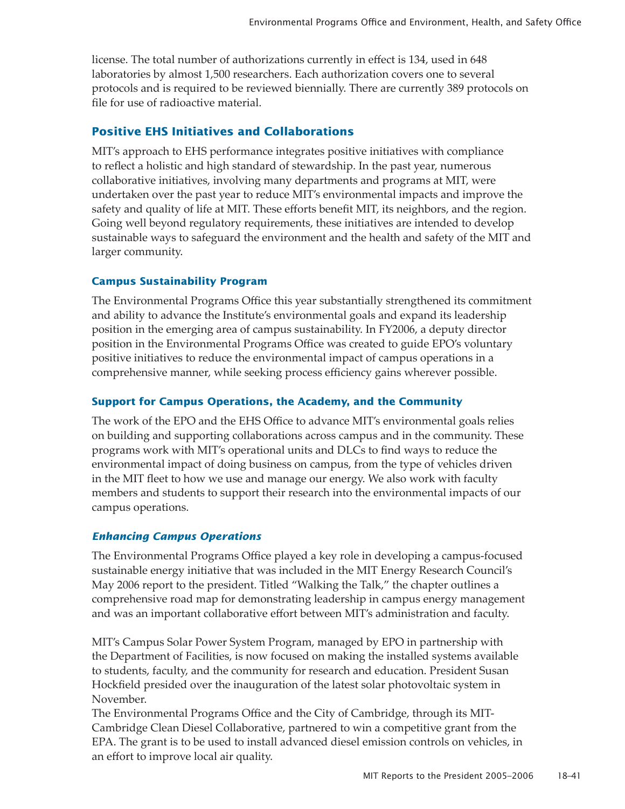license. The total number of authorizations currently in effect is 134, used in 648 laboratories by almost 1,500 researchers. Each authorization covers one to several protocols and is required to be reviewed biennially. There are currently 389 protocols on file for use of radioactive material.

## **Positive EHS Initiatives and Collaborations**

MIT's approach to EHS performance integrates positive initiatives with compliance to reflect a holistic and high standard of stewardship. In the past year, numerous collaborative initiatives, involving many departments and programs at MIT, were undertaken over the past year to reduce MIT's environmental impacts and improve the safety and quality of life at MIT. These efforts benefit MIT, its neighbors, and the region. Going well beyond regulatory requirements, these initiatives are intended to develop sustainable ways to safeguard the environment and the health and safety of the MIT and larger community.

## **Campus Sustainability Program**

The Environmental Programs Office this year substantially strengthened its commitment and ability to advance the Institute's environmental goals and expand its leadership position in the emerging area of campus sustainability. In FY2006, a deputy director position in the Environmental Programs Office was created to guide EPO's voluntary positive initiatives to reduce the environmental impact of campus operations in a comprehensive manner, while seeking process efficiency gains wherever possible.

### **Support for Campus Operations, the Academy, and the Community**

The work of the EPO and the EHS Office to advance MIT's environmental goals relies on building and supporting collaborations across campus and in the community. These programs work with MIT's operational units and DLCs to find ways to reduce the environmental impact of doing business on campus, from the type of vehicles driven in the MIT fleet to how we use and manage our energy. We also work with faculty members and students to support their research into the environmental impacts of our campus operations.

## *Enhancing Campus Operations*

The Environmental Programs Office played a key role in developing a campus-focused sustainable energy initiative that was included in the MIT Energy Research Council's May 2006 report to the president. Titled "Walking the Talk," the chapter outlines a comprehensive road map for demonstrating leadership in campus energy management and was an important collaborative effort between MIT's administration and faculty.

MIT's Campus Solar Power System Program, managed by EPO in partnership with the Department of Facilities, is now focused on making the installed systems available to students, faculty, and the community for research and education. President Susan Hockfield presided over the inauguration of the latest solar photovoltaic system in November.

The Environmental Programs Office and the City of Cambridge, through its MIT-Cambridge Clean Diesel Collaborative, partnered to win a competitive grant from the EPA. The grant is to be used to install advanced diesel emission controls on vehicles, in an effort to improve local air quality.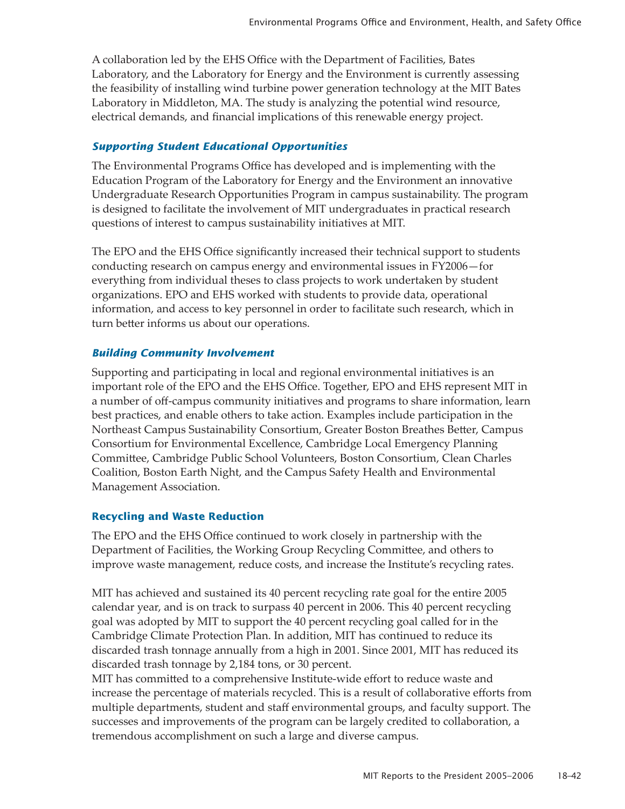A collaboration led by the EHS Office with the Department of Facilities, Bates Laboratory, and the Laboratory for Energy and the Environment is currently assessing the feasibility of installing wind turbine power generation technology at the MIT Bates Laboratory in Middleton, MA. The study is analyzing the potential wind resource, electrical demands, and financial implications of this renewable energy project.

## *Supporting Student Educational Opportunities*

The Environmental Programs Office has developed and is implementing with the Education Program of the Laboratory for Energy and the Environment an innovative Undergraduate Research Opportunities Program in campus sustainability. The program is designed to facilitate the involvement of MIT undergraduates in practical research questions of interest to campus sustainability initiatives at MIT.

The EPO and the EHS Office significantly increased their technical support to students conducting research on campus energy and environmental issues in FY2006—for everything from individual theses to class projects to work undertaken by student organizations. EPO and EHS worked with students to provide data, operational information, and access to key personnel in order to facilitate such research, which in turn better informs us about our operations.

## *Building Community Involvement*

Supporting and participating in local and regional environmental initiatives is an important role of the EPO and the EHS Office. Together, EPO and EHS represent MIT in a number of off-campus community initiatives and programs to share information, learn best practices, and enable others to take action. Examples include participation in the Northeast Campus Sustainability Consortium, Greater Boston Breathes Better, Campus Consortium for Environmental Excellence, Cambridge Local Emergency Planning Committee, Cambridge Public School Volunteers, Boston Consortium, Clean Charles Coalition, Boston Earth Night, and the Campus Safety Health and Environmental Management Association.

## **Recycling and Waste Reduction**

The EPO and the EHS Office continued to work closely in partnership with the Department of Facilities, the Working Group Recycling Committee, and others to improve waste management, reduce costs, and increase the Institute's recycling rates.

MIT has achieved and sustained its 40 percent recycling rate goal for the entire 2005 calendar year, and is on track to surpass 40 percent in 2006. This 40 percent recycling goal was adopted by MIT to support the 40 percent recycling goal called for in the Cambridge Climate Protection Plan. In addition, MIT has continued to reduce its discarded trash tonnage annually from a high in 2001. Since 2001, MIT has reduced its discarded trash tonnage by 2,184 tons, or 30 percent.

MIT has committed to a comprehensive Institute-wide effort to reduce waste and increase the percentage of materials recycled. This is a result of collaborative efforts from multiple departments, student and staff environmental groups, and faculty support. The successes and improvements of the program can be largely credited to collaboration, a tremendous accomplishment on such a large and diverse campus.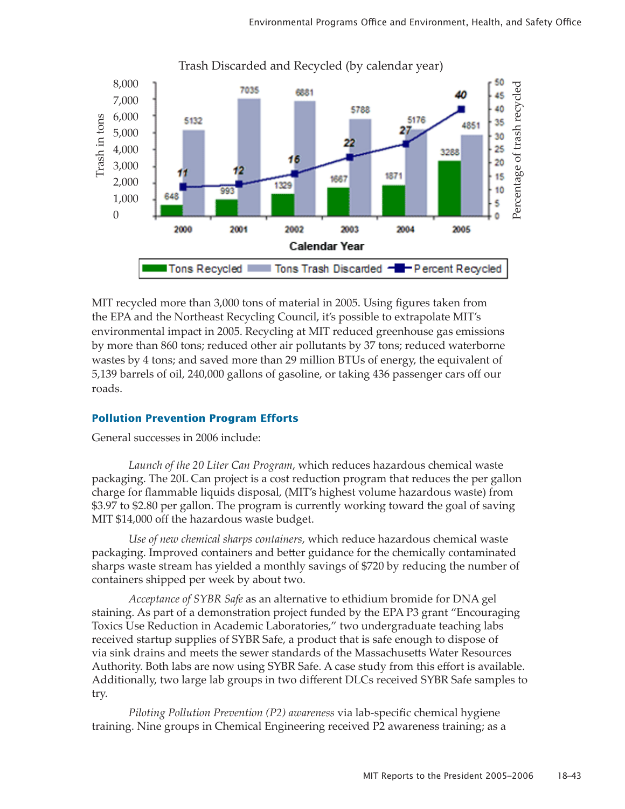

Trash Discarded and Recycled (by calendar year)

MIT recycled more than 3,000 tons of material in 2005. Using figures taken from the EPA and the Northeast Recycling Council, it's possible to extrapolate MIT's environmental impact in 2005. Recycling at MIT reduced greenhouse gas emissions by more than 860 tons; reduced other air pollutants by 37 tons; reduced waterborne wastes by 4 tons; and saved more than 29 million BTUs of energy, the equivalent of 5,139 barrels of oil, 240,000 gallons of gasoline, or taking 436 passenger cars off our roads.

#### **Pollution Prevention Program Efforts**

General successes in 2006 include:

*Launch of the 20 Liter Can Program*, which reduces hazardous chemical waste packaging. The 20L Can project is a cost reduction program that reduces the per gallon charge for flammable liquids disposal, (MIT's highest volume hazardous waste) from \$3.97 to \$2.80 per gallon. The program is currently working toward the goal of saving MIT \$14,000 off the hazardous waste budget.

*Use of new chemical sharps containers*, which reduce hazardous chemical waste packaging. Improved containers and better guidance for the chemically contaminated sharps waste stream has yielded a monthly savings of \$720 by reducing the number of containers shipped per week by about two.

*Acceptance of SYBR Safe* as an alternative to ethidium bromide for DNA gel staining. As part of a demonstration project funded by the EPA P3 grant "Encouraging Toxics Use Reduction in Academic Laboratories," two undergraduate teaching labs received startup supplies of SYBR Safe, a product that is safe enough to dispose of via sink drains and meets the sewer standards of the Massachusetts Water Resources Authority. Both labs are now using SYBR Safe. A case study from this effort is available. Additionally, two large lab groups in two different DLCs received SYBR Safe samples to try.

*Piloting Pollution Prevention (P2) awareness* via lab-specific chemical hygiene training. Nine groups in Chemical Engineering received P2 awareness training; as a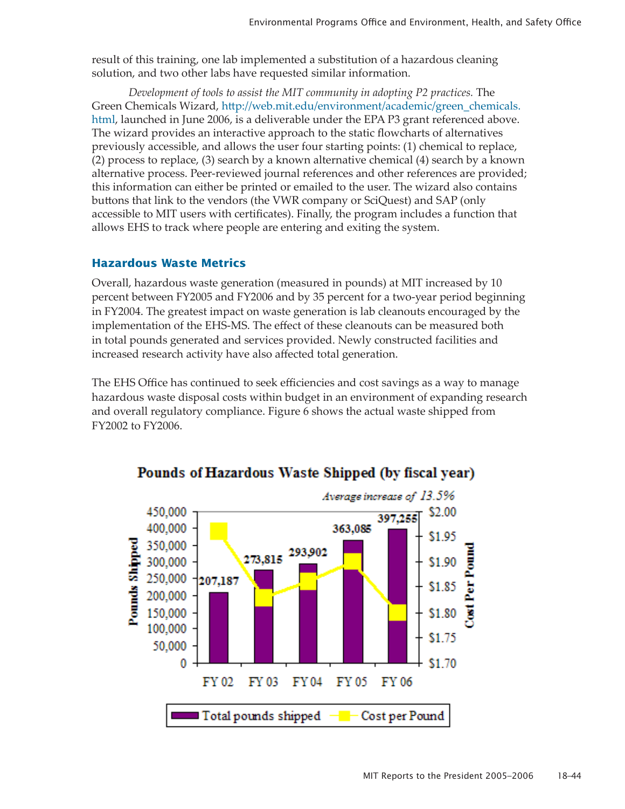result of this training, one lab implemented a substitution of a hazardous cleaning solution, and two other labs have requested similar information.

*Development of tools to assist the MIT community in adopting P2 practices.* The [Green Chemicals Wizard](http://web.mit.edu/environment/academic/green_chemicals.html), [http://web.mit.edu/environment/academic/green\\_chemicals.](http://web.mit.edu/environment/academic/green_chemicals.html) [html](http://web.mit.edu/environment/academic/green_chemicals.html), launched in June 2006, is a deliverable under the EPA P3 grant referenced above. The wizard provides an interactive approach to the static flowcharts of alternatives previously accessible, and allows the user four starting points: (1) chemical to replace, (2) process to replace, (3) search by a known alternative chemical (4) search by a known alternative process. Peer-reviewed journal references and other references are provided; this information can either be printed or emailed to the user. The wizard also contains buttons that link to the vendors (the VWR company or SciQuest) and SAP (only accessible to MIT users with certificates). Finally, the program includes a function that allows EHS to track where people are entering and exiting the system.

## **Hazardous Waste Metrics**

Overall, hazardous waste generation (measured in pounds) at MIT increased by 10 percent between FY2005 and FY2006 and by 35 percent for a two-year period beginning in FY2004. The greatest impact on waste generation is lab cleanouts encouraged by the implementation of the EHS-MS. The effect of these cleanouts can be measured both in total pounds generated and services provided. Newly constructed facilities and increased research activity have also affected total generation.

The EHS Office has continued to seek efficiencies and cost savings as a way to manage hazardous waste disposal costs within budget in an environment of expanding research and overall regulatory compliance. Figure 6 shows the actual waste shipped from FY2002 to FY2006.



# Pounds of Hazardous Waste Shipped (by fiscal year)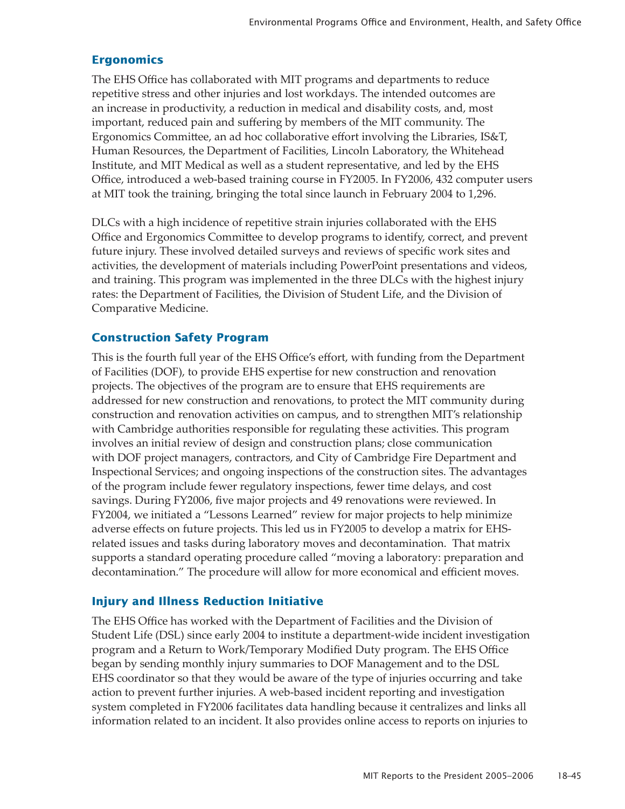## **Ergonomics**

The EHS Office has collaborated with MIT programs and departments to reduce repetitive stress and other injuries and lost workdays. The intended outcomes are an increase in productivity, a reduction in medical and disability costs, and, most important, reduced pain and suffering by members of the MIT community. The Ergonomics Committee, an ad hoc collaborative effort involving the Libraries, IS&T, Human Resources, the Department of Facilities, Lincoln Laboratory, the Whitehead Institute, and MIT Medical as well as a student representative, and led by the EHS Office, introduced a web-based training course in FY2005. In FY2006, 432 computer users at MIT took the training, bringing the total since launch in February 2004 to 1,296.

DLCs with a high incidence of repetitive strain injuries collaborated with the EHS Office and Ergonomics Committee to develop programs to identify, correct, and prevent future injury. These involved detailed surveys and reviews of specific work sites and activities, the development of materials including PowerPoint presentations and videos, and training. This program was implemented in the three DLCs with the highest injury rates: the Department of Facilities, the Division of Student Life, and the Division of Comparative Medicine.

# **Construction Safety Program**

This is the fourth full year of the EHS Office's effort, with funding from the Department of Facilities (DOF), to provide EHS expertise for new construction and renovation projects. The objectives of the program are to ensure that EHS requirements are addressed for new construction and renovations, to protect the MIT community during construction and renovation activities on campus, and to strengthen MIT's relationship with Cambridge authorities responsible for regulating these activities. This program involves an initial review of design and construction plans; close communication with DOF project managers, contractors, and City of Cambridge Fire Department and Inspectional Services; and ongoing inspections of the construction sites. The advantages of the program include fewer regulatory inspections, fewer time delays, and cost savings. During FY2006, five major projects and 49 renovations were reviewed. In FY2004, we initiated a "Lessons Learned" review for major projects to help minimize adverse effects on future projects. This led us in FY2005 to develop a matrix for EHSrelated issues and tasks during laboratory moves and decontamination. That matrix supports a standard operating procedure called "moving a laboratory: preparation and decontamination." The procedure will allow for more economical and efficient moves.

## **Injury and Illness Reduction Initiative**

The EHS Office has worked with the Department of Facilities and the Division of Student Life (DSL) since early 2004 to institute a department-wide incident investigation program and a Return to Work/Temporary Modified Duty program. The EHS Office began by sending monthly injury summaries to DOF Management and to the DSL EHS coordinator so that they would be aware of the type of injuries occurring and take action to prevent further injuries. A web-based incident reporting and investigation system completed in FY2006 facilitates data handling because it centralizes and links all information related to an incident. It also provides online access to reports on injuries to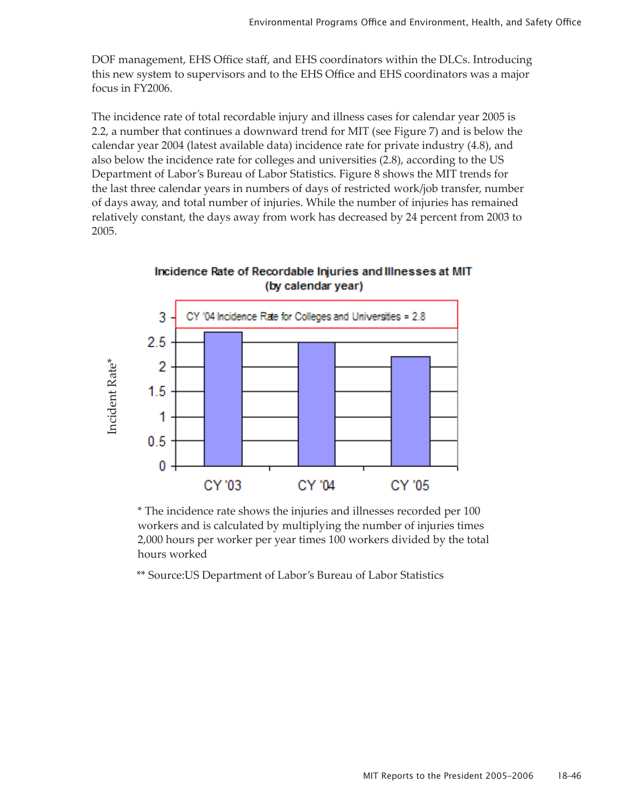DOF management, EHS Office staff, and EHS coordinators within the DLCs. Introducing this new system to supervisors and to the EHS Office and EHS coordinators was a major focus in FY2006.

The incidence rate of total recordable injury and illness cases for calendar year 2005 is 2.2, a number that continues a downward trend for MIT (see Figure 7) and is below the calendar year 2004 (latest available data) incidence rate for private industry (4.8), and also below the incidence rate for colleges and universities (2.8), according to the US Department of Labor's Bureau of Labor Statistics. Figure 8 shows the MIT trends for the last three calendar years in numbers of days of restricted work/job transfer, number of days away, and total number of injuries. While the number of injuries has remained relatively constant, the days away from work has decreased by 24 percent from 2003 to 2005.



Incidence Rate of Recordable Injuries and Illnesses at MIT (by calendar year)

\* The incidence rate shows the injuries and illnesses recorded per 100 workers and is calculated by multiplying the number of injuries times 2,000 hours per worker per year times 100 workers divided by the total hours worked

\*\* Source:US Department of Labor's Bureau of Labor Statistics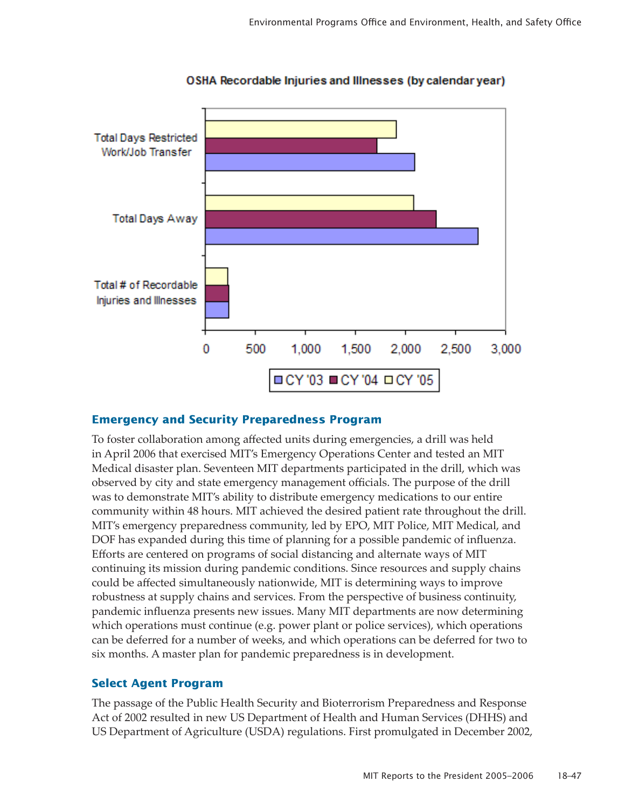

OSHA Recordable Injuries and Illnesses (by calendar year)

### **Emergency and Security Preparedness Program**

To foster collaboration among affected units during emergencies, a drill was held in April 2006 that exercised MIT's Emergency Operations Center and tested an MIT Medical disaster plan. Seventeen MIT departments participated in the drill, which was observed by city and state emergency management officials. The purpose of the drill was to demonstrate MIT's ability to distribute emergency medications to our entire community within 48 hours. MIT achieved the desired patient rate throughout the drill. MIT's emergency preparedness community, led by EPO, MIT Police, MIT Medical, and DOF has expanded during this time of planning for a possible pandemic of influenza. Efforts are centered on programs of social distancing and alternate ways of MIT continuing its mission during pandemic conditions. Since resources and supply chains could be affected simultaneously nationwide, MIT is determining ways to improve robustness at supply chains and services. From the perspective of business continuity, pandemic influenza presents new issues. Many MIT departments are now determining which operations must continue (e.g. power plant or police services), which operations can be deferred for a number of weeks, and which operations can be deferred for two to six months. A master plan for pandemic preparedness is in development.

## **Select Agent Program**

The passage of the Public Health Security and Bioterrorism Preparedness and Response Act of 2002 resulted in new US Department of Health and Human Services (DHHS) and US Department of Agriculture (USDA) regulations. First promulgated in December 2002,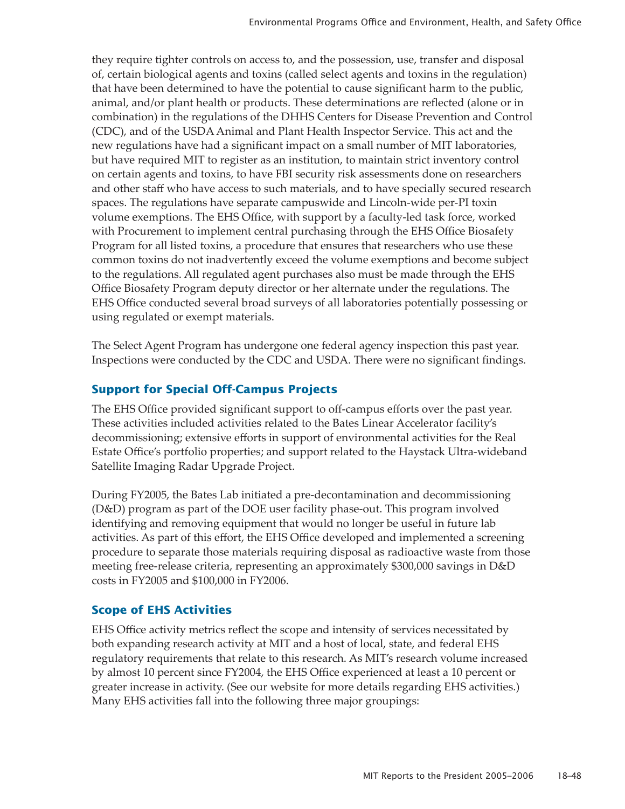they require tighter controls on access to, and the possession, use, transfer and disposal of, certain biological agents and toxins (called select agents and toxins in the regulation) that have been determined to have the potential to cause significant harm to the public, animal, and/or plant health or products. These determinations are reflected (alone or in combination) in the regulations of the DHHS Centers for Disease Prevention and Control (CDC), and of the USDA Animal and Plant Health Inspector Service. This act and the new regulations have had a significant impact on a small number of MIT laboratories, but have required MIT to register as an institution, to maintain strict inventory control on certain agents and toxins, to have FBI security risk assessments done on researchers and other staff who have access to such materials, and to have specially secured research spaces. The regulations have separate campuswide and Lincoln-wide per-PI toxin volume exemptions. The EHS Office, with support by a faculty-led task force, worked with Procurement to implement central purchasing through the EHS Office Biosafety Program for all listed toxins, a procedure that ensures that researchers who use these common toxins do not inadvertently exceed the volume exemptions and become subject to the regulations. All regulated agent purchases also must be made through the EHS Office Biosafety Program deputy director or her alternate under the regulations. The EHS Office conducted several broad surveys of all laboratories potentially possessing or using regulated or exempt materials.

The Select Agent Program has undergone one federal agency inspection this past year. Inspections were conducted by the CDC and USDA. There were no significant findings.

# **Support for Special Off-Campus Projects**

The EHS Office provided significant support to off-campus efforts over the past year. These activities included activities related to the Bates Linear Accelerator facility's decommissioning; extensive efforts in support of environmental activities for the Real Estate Office's portfolio properties; and support related to the Haystack Ultra-wideband Satellite Imaging Radar Upgrade Project.

During FY2005, the Bates Lab initiated a pre-decontamination and decommissioning (D&D) program as part of the DOE user facility phase-out. This program involved identifying and removing equipment that would no longer be useful in future lab activities. As part of this effort, the EHS Office developed and implemented a screening procedure to separate those materials requiring disposal as radioactive waste from those meeting free-release criteria, representing an approximately \$300,000 savings in D&D costs in FY2005 and \$100,000 in FY2006.

# **Scope of EHS Activities**

EHS Office activity metrics reflect the scope and intensity of services necessitated by both expanding research activity at MIT and a host of local, state, and federal EHS regulatory requirements that relate to this research. As MIT's research volume increased by almost 10 percent since FY2004, the EHS Office experienced at least a 10 percent or greater increase in activity. (See our website for more details regarding EHS activities.) Many EHS activities fall into the following three major groupings: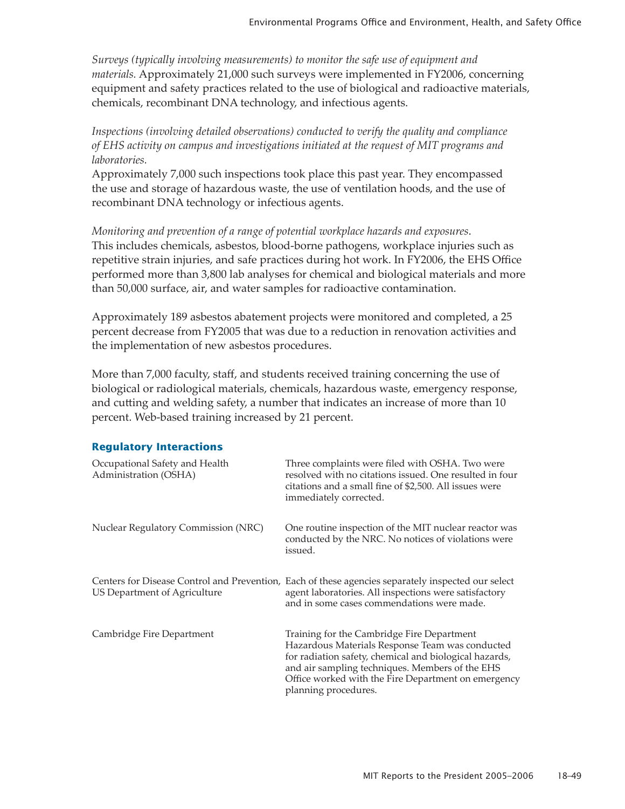*Surveys (typically involving measurements) to monitor the safe use of equipment and materials.* Approximately 21,000 such surveys were implemented in FY2006, concerning equipment and safety practices related to the use of biological and radioactive materials, chemicals, recombinant DNA technology, and infectious agents.

*Inspections (involving detailed observations) conducted to verify the quality and compliance of EHS activity on campus and investigations initiated at the request of MIT programs and laboratories.*

Approximately 7,000 such inspections took place this past year. They encompassed the use and storage of hazardous waste, the use of ventilation hoods, and the use of recombinant DNA technology or infectious agents.

*Monitoring and prevention of a range of potential workplace hazards and exposures*. This includes chemicals, asbestos, blood-borne pathogens, workplace injuries such as repetitive strain injuries, and safe practices during hot work. In FY2006, the EHS Office performed more than 3,800 lab analyses for chemical and biological materials and more than 50,000 surface, air, and water samples for radioactive contamination.

Approximately 189 asbestos abatement projects were monitored and completed, a 25 percent decrease from FY2005 that was due to a reduction in renovation activities and the implementation of new asbestos procedures.

More than 7,000 faculty, staff, and students received training concerning the use of biological or radiological materials, chemicals, hazardous waste, emergency response, and cutting and welding safety, a number that indicates an increase of more than 10 percent. Web-based training increased by 21 percent.

### **Regulatory Interactions**

| Occupational Safety and Health<br>Administration (OSHA) | Three complaints were filed with OSHA. Two were<br>resolved with no citations issued. One resulted in four<br>citations and a small fine of \$2,500. All issues were<br>immediately corrected.                                                                                            |
|---------------------------------------------------------|-------------------------------------------------------------------------------------------------------------------------------------------------------------------------------------------------------------------------------------------------------------------------------------------|
| Nuclear Regulatory Commission (NRC)                     | One routine inspection of the MIT nuclear reactor was<br>conducted by the NRC. No notices of violations were<br>issued.                                                                                                                                                                   |
| US Department of Agriculture                            | Centers for Disease Control and Prevention, Each of these agencies separately inspected our select<br>agent laboratories. All inspections were satisfactory<br>and in some cases commendations were made.                                                                                 |
| Cambridge Fire Department                               | Training for the Cambridge Fire Department<br>Hazardous Materials Response Team was conducted<br>for radiation safety, chemical and biological hazards,<br>and air sampling techniques. Members of the EHS<br>Office worked with the Fire Department on emergency<br>planning procedures. |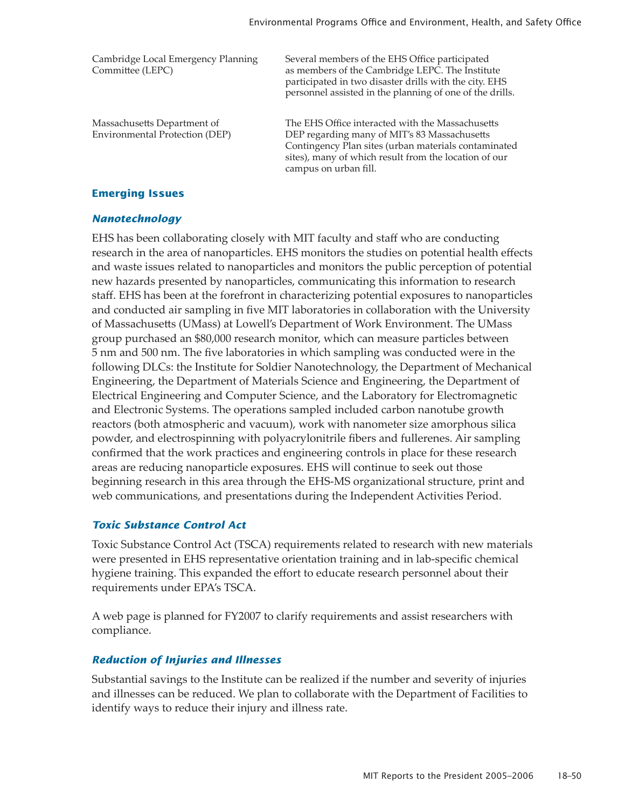| Cambridge Local Emergency Planning<br>Committee (LEPC)        | Several members of the EHS Office participated<br>as members of the Cambridge LEPC. The Institute<br>participated in two disaster drills with the city. EHS<br>personnel assisted in the planning of one of the drills.                    |
|---------------------------------------------------------------|--------------------------------------------------------------------------------------------------------------------------------------------------------------------------------------------------------------------------------------------|
| Massachusetts Department of<br>Environmental Protection (DEP) | The EHS Office interacted with the Massachusetts<br>DEP regarding many of MIT's 83 Massachusetts<br>Contingency Plan sites (urban materials contaminated<br>sites), many of which result from the location of our<br>campus on urban fill. |

#### **Emerging Issues**

#### *Nanotechnology*

EHS has been collaborating closely with MIT faculty and staff who are conducting research in the area of nanoparticles. EHS monitors the studies on potential health effects and waste issues related to nanoparticles and monitors the public perception of potential new hazards presented by nanoparticles, communicating this information to research staff. EHS has been at the forefront in characterizing potential exposures to nanoparticles and conducted air sampling in five MIT laboratories in collaboration with the University of Massachusetts (UMass) at Lowell's Department of Work Environment. The UMass group purchased an \$80,000 research monitor, which can measure particles between 5 nm and 500 nm. The five laboratories in which sampling was conducted were in the following DLCs: the Institute for Soldier Nanotechnology, the Department of Mechanical Engineering, the Department of Materials Science and Engineering, the Department of Electrical Engineering and Computer Science, and the Laboratory for Electromagnetic and Electronic Systems. The operations sampled included carbon nanotube growth reactors (both atmospheric and vacuum), work with nanometer size amorphous silica powder, and electrospinning with polyacrylonitrile fibers and fullerenes. Air sampling confirmed that the work practices and engineering controls in place for these research areas are reducing nanoparticle exposures. EHS will continue to seek out those beginning research in this area through the EHS-MS organizational structure, print and web communications, and presentations during the Independent Activities Period.

#### *Toxic Substance Control Act*

Toxic Substance Control Act (TSCA) requirements related to research with new materials were presented in EHS representative orientation training and in lab-specific chemical hygiene training. This expanded the effort to educate research personnel about their requirements under EPA's TSCA.

A web page is planned for FY2007 to clarify requirements and assist researchers with compliance.

#### *Reduction of Injuries and Illnesses*

Substantial savings to the Institute can be realized if the number and severity of injuries and illnesses can be reduced. We plan to collaborate with the Department of Facilities to identify ways to reduce their injury and illness rate.